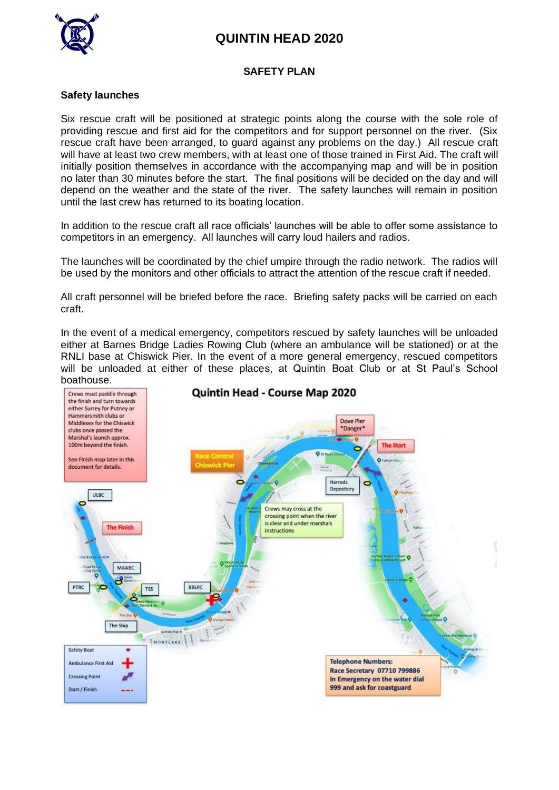# **QUINTIN HEAD 2020**



#### **SAFETY PLAN**

#### **Safety launches**

Six rescue craft will be positioned at strategic points along the course with the sole role of providing rescue and first aid for the competitors and for support personnel on the river. (Six rescue craft have been arranged, to guard against any problems on the day.) All rescue craft will have at least two crew members, with at least one of those trained in First Aid. The craft will initially position themselves in accordance with the accompanying map and will be in position no later than 30 minutes before the start. The final positions will be decided on the day and will depend on the weather and the state of the river. The safety launches will remain in position until the last crew has returned to its boating location.

In addition to the rescue craft all race officials' launches will be able to offer some assistance to competitors in an emergency. All launches will carry loud hailers and radios.

The launches will be coordinated by the chief umpire through the radio network. The radios will be used by the monitors and other officials to attract the attention of the rescue craft if needed.

All craft personnel will be briefed before the race. Briefing safety packs will be carried on each craft.

In the event of a medical emergency, competitors rescued by safety launches will be unloaded either at Barnes Bridge Ladies Rowing Club (where an ambulance will be stationed) or at the RNLI base at Chiswick Pier. In the event of a more general emergency, rescued competitors will be unloaded at either of these places, at Quintin Boat Club or at St Paul's School boathouse.

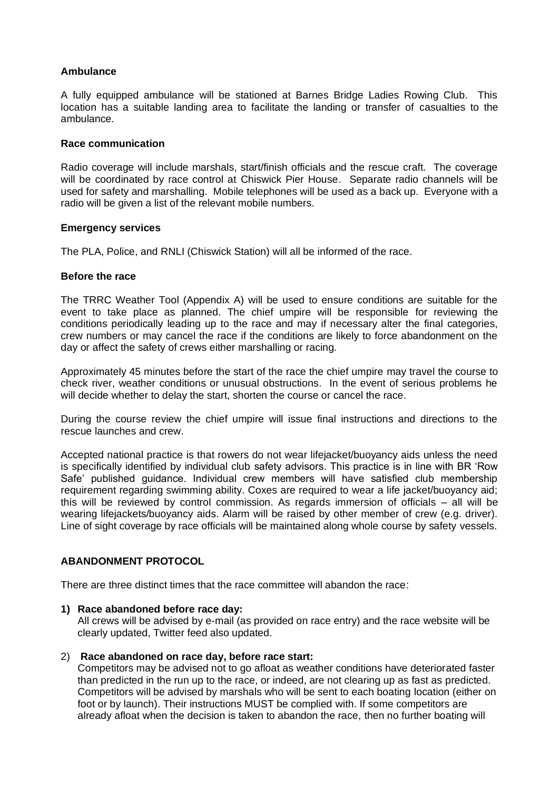#### **Ambulance**

A fully equipped ambulance will be stationed at Barnes Bridge Ladies Rowing Club. This location has a suitable landing area to facilitate the landing or transfer of casualties to the ambulance.

#### **Race communication**

Radio coverage will include marshals, start/finish officials and the rescue craft. The coverage will be coordinated by race control at Chiswick Pier House. Separate radio channels will be used for safety and marshalling. Mobile telephones will be used as a back up. Everyone with a radio will be given a list of the relevant mobile numbers.

#### **Emergency services**

The PLA, Police, and RNLI (Chiswick Station) will all be informed of the race.

#### **Before the race**

The TRRC Weather Tool (Appendix A) will be used to ensure conditions are suitable for the event to take place as planned. The chief umpire will be responsible for reviewing the conditions periodically leading up to the race and may if necessary alter the final categories, crew numbers or may cancel the race if the conditions are likely to force abandonment on the day or affect the safety of crews either marshalling or racing.

Approximately 45 minutes before the start of the race the chief umpire may travel the course to check river, weather conditions or unusual obstructions. In the event of serious problems he will decide whether to delay the start, shorten the course or cancel the race.

During the course review the chief umpire will issue final instructions and directions to the rescue launches and crew.

Accepted national practice is that rowers do not wear lifejacket/buoyancy aids unless the need is specifically identified by individual club safety advisors. This practice is in line with BR 'Row Safe' published guidance. Individual crew members will have satisfied club membership requirement regarding swimming ability. Coxes are required to wear a life jacket/buoyancy aid; this will be reviewed by control commission. As regards immersion of officials – all will be wearing lifejackets/buoyancy aids. Alarm will be raised by other member of crew (e.g. driver). Line of sight coverage by race officials will be maintained along whole course by safety vessels.

#### **ABANDONMENT PROTOCOL**

There are three distinct times that the race committee will abandon the race:

#### **1) Race abandoned before race day:**

All crews will be advised by e-mail (as provided on race entry) and the race website will be clearly updated, Twitter feed also updated.

#### 2) **Race abandoned on race day, before race start:**

Competitors may be advised not to go afloat as weather conditions have deteriorated faster than predicted in the run up to the race, or indeed, are not clearing up as fast as predicted. Competitors will be advised by marshals who will be sent to each boating location (either on foot or by launch). Their instructions MUST be complied with. If some competitors are already afloat when the decision is taken to abandon the race, then no further boating will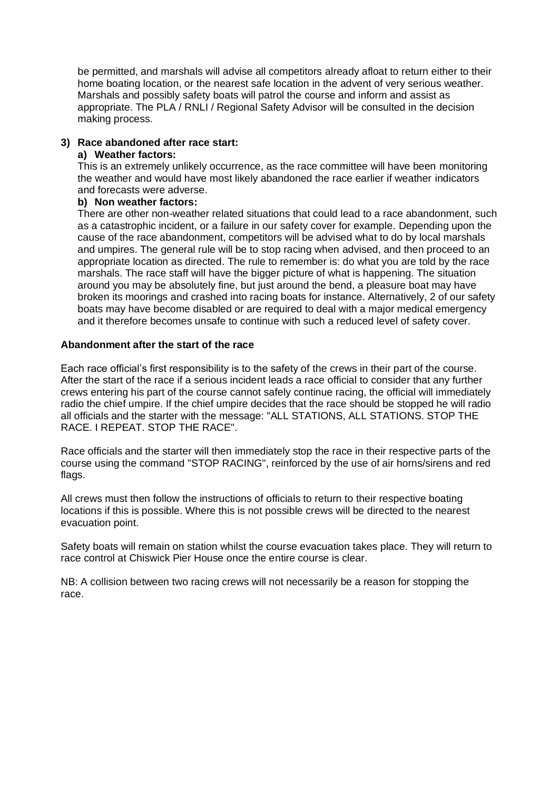be permitted, and marshals will advise all competitors already afloat to return either to their home boating location, or the nearest safe location in the advent of very serious weather. Marshals and possibly safety boats will patrol the course and inform and assist as appropriate. The PLA / RNLI / Regional Safety Advisor will be consulted in the decision making process.

#### **3) Race abandoned after race start:**

#### **a) Weather factors:**

This is an extremely unlikely occurrence, as the race committee will have been monitoring the weather and would have most likely abandoned the race earlier if weather indicators and forecasts were adverse.

#### **b) Non weather factors:**

There are other non-weather related situations that could lead to a race abandonment, such as a catastrophic incident, or a failure in our safety cover for example. Depending upon the cause of the race abandonment, competitors will be advised what to do by local marshals and umpires. The general rule will be to stop racing when advised, and then proceed to an appropriate location as directed. The rule to remember is: do what you are told by the race marshals. The race staff will have the bigger picture of what is happening. The situation around you may be absolutely fine, but just around the bend, a pleasure boat may have broken its moorings and crashed into racing boats for instance. Alternatively, 2 of our safety boats may have become disabled or are required to deal with a major medical emergency and it therefore becomes unsafe to continue with such a reduced level of safety cover.

#### **Abandonment after the start of the race**

Each race official's first responsibility is to the safety of the crews in their part of the course. After the start of the race if a serious incident leads a race official to consider that any further crews entering his part of the course cannot safely continue racing, the official will immediately radio the chief umpire. If the chief umpire decides that the race should be stopped he will radio all officials and the starter with the message: "ALL STATIONS, ALL STATIONS. STOP THE RACE. I REPEAT. STOP THE RACE".

Race officials and the starter will then immediately stop the race in their respective parts of the course using the command "STOP RACING", reinforced by the use of air horns/sirens and red flags.

All crews must then follow the instructions of officials to return to their respective boating locations if this is possible. Where this is not possible crews will be directed to the nearest evacuation point.

Safety boats will remain on station whilst the course evacuation takes place. They will return to race control at Chiswick Pier House once the entire course is clear.

NB: A collision between two racing crews will not necessarily be a reason for stopping the race.